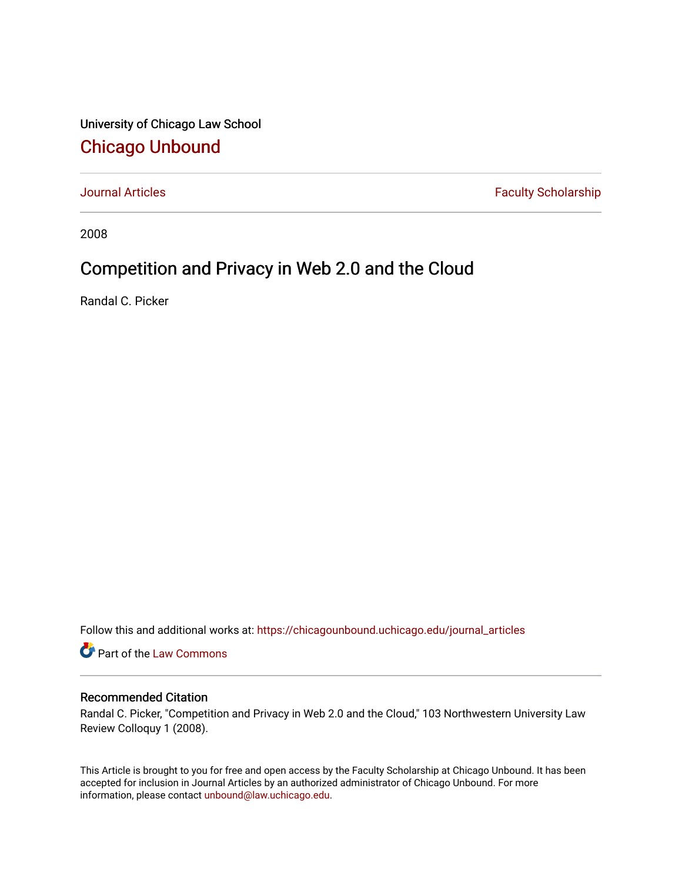University of Chicago Law School [Chicago Unbound](https://chicagounbound.uchicago.edu/)

[Journal Articles](https://chicagounbound.uchicago.edu/journal_articles) **Faculty Scholarship Faculty Scholarship** 

2008

# Competition and Privacy in Web 2.0 and the Cloud

Randal C. Picker

Follow this and additional works at: [https://chicagounbound.uchicago.edu/journal\\_articles](https://chicagounbound.uchicago.edu/journal_articles?utm_source=chicagounbound.uchicago.edu%2Fjournal_articles%2F148&utm_medium=PDF&utm_campaign=PDFCoverPages) 

Part of the [Law Commons](http://network.bepress.com/hgg/discipline/578?utm_source=chicagounbound.uchicago.edu%2Fjournal_articles%2F148&utm_medium=PDF&utm_campaign=PDFCoverPages)

### Recommended Citation

Randal C. Picker, "Competition and Privacy in Web 2.0 and the Cloud," 103 Northwestern University Law Review Colloquy 1 (2008).

This Article is brought to you for free and open access by the Faculty Scholarship at Chicago Unbound. It has been accepted for inclusion in Journal Articles by an authorized administrator of Chicago Unbound. For more information, please contact [unbound@law.uchicago.edu](mailto:unbound@law.uchicago.edu).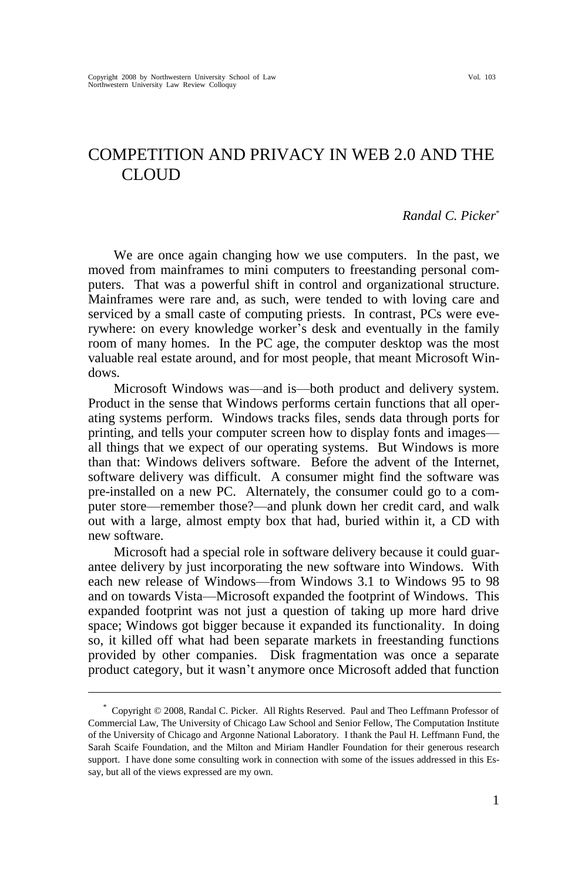# COMPETITION AND PRIVACY IN WEB 2.0 AND THE CLOUD

#### *Randal C. Picker*\*

We are once again changing how we use computers. In the past, we moved from mainframes to mini computers to freestanding personal computers. That was a powerful shift in control and organizational structure. Mainframes were rare and, as such, were tended to with loving care and serviced by a small caste of computing priests. In contrast, PCs were everywhere: on every knowledge worker's desk and eventually in the family room of many homes. In the PC age, the computer desktop was the most valuable real estate around, and for most people, that meant Microsoft Windows.

Microsoft Windows was—and is—both product and delivery system. Product in the sense that Windows performs certain functions that all operating systems perform. Windows tracks files, sends data through ports for printing, and tells your computer screen how to display fonts and images all things that we expect of our operating systems. But Windows is more than that: Windows delivers software. Before the advent of the Internet, software delivery was difficult. A consumer might find the software was pre-installed on a new PC. Alternately, the consumer could go to a computer store—remember those?—and plunk down her credit card, and walk out with a large, almost empty box that had, buried within it, a CD with new software.

Microsoft had a special role in software delivery because it could guarantee delivery by just incorporating the new software into Windows. With each new release of Windows—from Windows 3.1 to Windows 95 to 98 and on towards Vista—Microsoft expanded the footprint of Windows. This expanded footprint was not just a question of taking up more hard drive space; Windows got bigger because it expanded its functionality. In doing so, it killed off what had been separate markets in freestanding functions provided by other companies. Disk fragmentation was once a separate product category, but it wasn't anymore once Microsoft added that function

<sup>\*</sup> Copyright © 2008, Randal C. Picker. All Rights Reserved. Paul and Theo Leffmann Professor of Commercial Law, The University of Chicago Law School and Senior Fellow, The Computation Institute of the University of Chicago and Argonne National Laboratory. I thank the Paul H. Leffmann Fund, the Sarah Scaife Foundation, and the Milton and Miriam Handler Foundation for their generous research support. I have done some consulting work in connection with some of the issues addressed in this Essay, but all of the views expressed are my own.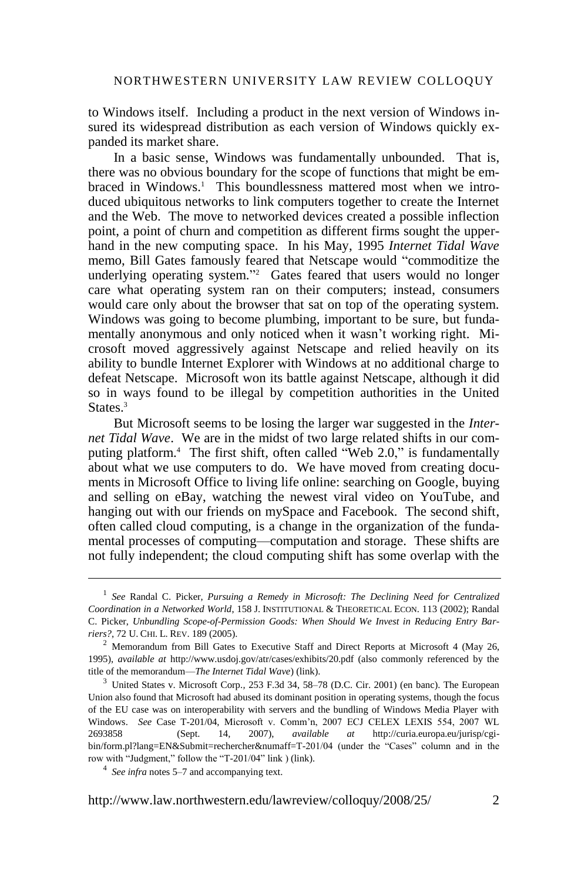to Windows itself. Including a product in the next version of Windows insured its widespread distribution as each version of Windows quickly expanded its market share.

In a basic sense, Windows was fundamentally unbounded. That is, there was no obvious boundary for the scope of functions that might be embraced in Windows.<sup>1</sup> This boundlessness mattered most when we introduced ubiquitous networks to link computers together to create the Internet and the Web. The move to networked devices created a possible inflection point, a point of churn and competition as different firms sought the upperhand in the new computing space. In his May, 1995 *Internet Tidal Wave* memo, Bill Gates famously feared that Netscape would "commoditize the underlying operating system."<sup>2</sup> Gates feared that users would no longer care what operating system ran on their computers; instead, consumers would care only about the browser that sat on top of the operating system. Windows was going to become plumbing, important to be sure, but fundamentally anonymous and only noticed when it wasn't working right. Microsoft moved aggressively against Netscape and relied heavily on its ability to bundle Internet Explorer with Windows at no additional charge to defeat Netscape. Microsoft won its battle against Netscape, although it did so in ways found to be illegal by competition authorities in the United States.<sup>3</sup>

But Microsoft seems to be losing the larger war suggested in the *Internet Tidal Wave*. We are in the midst of two large related shifts in our computing platform.<sup>4</sup> The first shift, often called "Web 2.0," is fundamentally about what we use computers to do. We have moved from creating documents in Microsoft Office to living life online: searching on Google, buying and selling on eBay, watching the newest viral video on YouTube, and hanging out with our friends on mySpace and Facebook. The second shift, often called cloud computing, is a change in the organization of the fundamental processes of computing—computation and storage. These shifts are not fully independent; the cloud computing shift has some overlap with the

<sup>1</sup> *See* Randal C. Picker, *Pursuing a Remedy in Microsoft: The Declining Need for Centralized Coordination in a Networked World*, 158 J. INSTITUTIONAL & THEORETICAL ECON. 113 (2002); Randal C. Picker, *Unbundling Scope-of-Permission Goods: When Should We Invest in Reducing Entry Barriers?*, 72 U. CHI. L. REV. 189 (2005).

<sup>&</sup>lt;sup>2</sup> Memorandum from Bill Gates to Executive Staff and Direct Reports at Microsoft 4 (May 26, 1995), *available at* http://www.usdoj.gov/atr/cases/exhibits/20.pdf (also commonly referenced by the title of the memorandum—*The Internet Tidal Wave*[\) \(link\).](http://www.usdoj.gov/atr/cases/exhibits/20.pdf)

<sup>&</sup>lt;sup>3</sup> United States v. Microsoft Corp., 253 F.3d 34, 58–78 (D.C. Cir. 2001) (en banc). The European Union also found that Microsoft had abused its dominant position in operating systems, though the focus of the EU case was on interoperability with servers and the bundling of Windows Media Player with Windows. *See* Case T-201/04, Microsoft v. Comm'n, 2007 ECJ CELEX LEXIS 554, 2007 WL 2693858 (Sept. 14, 2007), *available at* http://curia.europa.eu/jurisp/cgibin/form.pl?lang=EN&Submit=rechercher&numaff=T-201/04 (under the "Cases" column and in the row with "Judgment," follow the "T-201/04" link [\) \(link\).](http://curia.europa.eu/jurisp/cgi-bin/form.pl?lang=EN&Submit=rechercher&numaff=T-201/04)

<sup>4</sup> *See infra* notes 5–7 and accompanying text.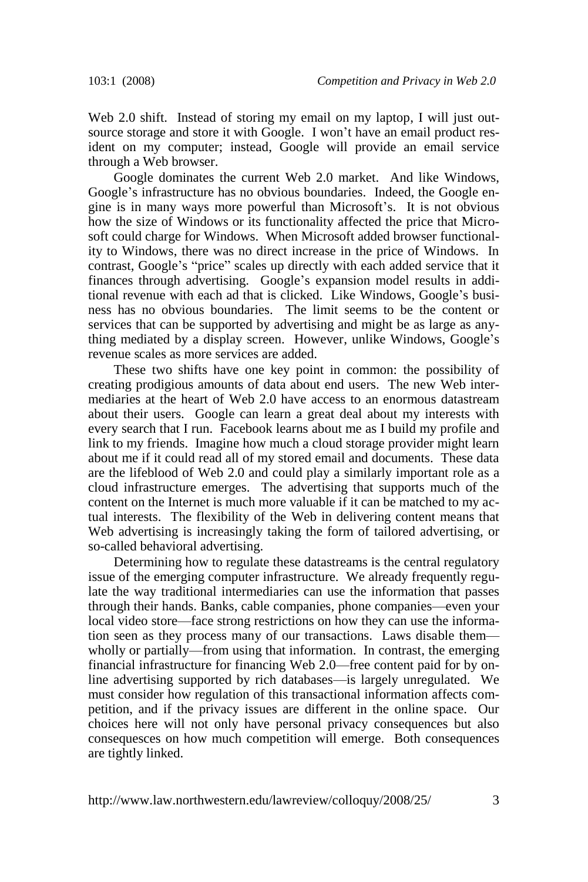Web 2.0 shift. Instead of storing my email on my laptop, I will just outsource storage and store it with Google. I won't have an email product resident on my computer; instead, Google will provide an email service through a Web browser.

Google dominates the current Web 2.0 market. And like Windows, Google's infrastructure has no obvious boundaries. Indeed, the Google engine is in many ways more powerful than Microsoft's. It is not obvious how the size of Windows or its functionality affected the price that Microsoft could charge for Windows. When Microsoft added browser functionality to Windows, there was no direct increase in the price of Windows. In contrast, Google's "price" scales up directly with each added service that it finances through advertising. Google's expansion model results in additional revenue with each ad that is clicked. Like Windows, Google's business has no obvious boundaries. The limit seems to be the content or services that can be supported by advertising and might be as large as anything mediated by a display screen. However, unlike Windows, Google's revenue scales as more services are added.

These two shifts have one key point in common: the possibility of creating prodigious amounts of data about end users. The new Web intermediaries at the heart of Web 2.0 have access to an enormous datastream about their users. Google can learn a great deal about my interests with every search that I run. Facebook learns about me as I build my profile and link to my friends. Imagine how much a cloud storage provider might learn about me if it could read all of my stored email and documents. These data are the lifeblood of Web 2.0 and could play a similarly important role as a cloud infrastructure emerges. The advertising that supports much of the content on the Internet is much more valuable if it can be matched to my actual interests. The flexibility of the Web in delivering content means that Web advertising is increasingly taking the form of tailored advertising, or so-called behavioral advertising.

Determining how to regulate these datastreams is the central regulatory issue of the emerging computer infrastructure. We already frequently regulate the way traditional intermediaries can use the information that passes through their hands. Banks, cable companies, phone companies—even your local video store—face strong restrictions on how they can use the information seen as they process many of our transactions. Laws disable them wholly or partially—from using that information. In contrast, the emerging financial infrastructure for financing Web 2.0—free content paid for by online advertising supported by rich databases—is largely unregulated. We must consider how regulation of this transactional information affects competition, and if the privacy issues are different in the online space. Our choices here will not only have personal privacy consequences but also consequesces on how much competition will emerge. Both consequences are tightly linked.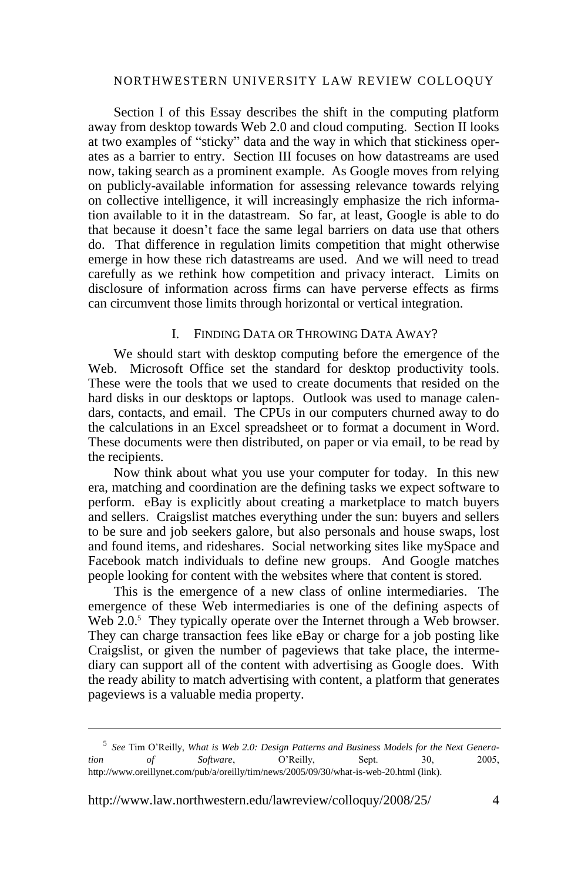#### NORTHWESTERN UNIVERSITY LAW REVIEW COLLOQUY

Section I of this Essay describes the shift in the computing platform away from desktop towards Web 2.0 and cloud computing. Section II looks at two examples of "sticky" data and the way in which that stickiness operates as a barrier to entry. Section III focuses on how datastreams are used now, taking search as a prominent example. As Google moves from relying on publicly-available information for assessing relevance towards relying on collective intelligence, it will increasingly emphasize the rich information available to it in the datastream. So far, at least, Google is able to do that because it doesn't face the same legal barriers on data use that others do. That difference in regulation limits competition that might otherwise emerge in how these rich datastreams are used. And we will need to tread carefully as we rethink how competition and privacy interact. Limits on disclosure of information across firms can have perverse effects as firms can circumvent those limits through horizontal or vertical integration.

#### I. FINDING DATA OR THROWING DATA AWAY?

We should start with desktop computing before the emergence of the Web. Microsoft Office set the standard for desktop productivity tools. These were the tools that we used to create documents that resided on the hard disks in our desktops or laptops. Outlook was used to manage calendars, contacts, and email. The CPUs in our computers churned away to do the calculations in an Excel spreadsheet or to format a document in Word. These documents were then distributed, on paper or via email, to be read by the recipients.

Now think about what you use your computer for today. In this new era, matching and coordination are the defining tasks we expect software to perform. eBay is explicitly about creating a marketplace to match buyers and sellers. Craigslist matches everything under the sun: buyers and sellers to be sure and job seekers galore, but also personals and house swaps, lost and found items, and rideshares. Social networking sites like mySpace and Facebook match individuals to define new groups. And Google matches people looking for content with the websites where that content is stored.

This is the emergence of a new class of online intermediaries. The emergence of these Web intermediaries is one of the defining aspects of Web 2.0.<sup>5</sup> They typically operate over the Internet through a Web browser. They can charge transaction fees like eBay or charge for a job posting like Craigslist, or given the number of pageviews that take place, the intermediary can support all of the content with advertising as Google does. With the ready ability to match advertising with content, a platform that generates pageviews is a valuable media property.

http://www.law.northwestern.edu/lawreview/colloquy/2008/25/ 4

<sup>5</sup> *See* Tim O'Reilly, *What is Web 2.0: Design Patterns and Business Models for the Next Generation of Software*, O'Reilly, Sept. 30, 2005, http://www.oreillynet.com/pub/a/oreilly/tim/news/2005/09/30/what-is-web-20.htm[l \(link\).](http://www.oreillynet.com/pub/a/oreilly/tim/news/2005/09/30/what-is-web-20.html)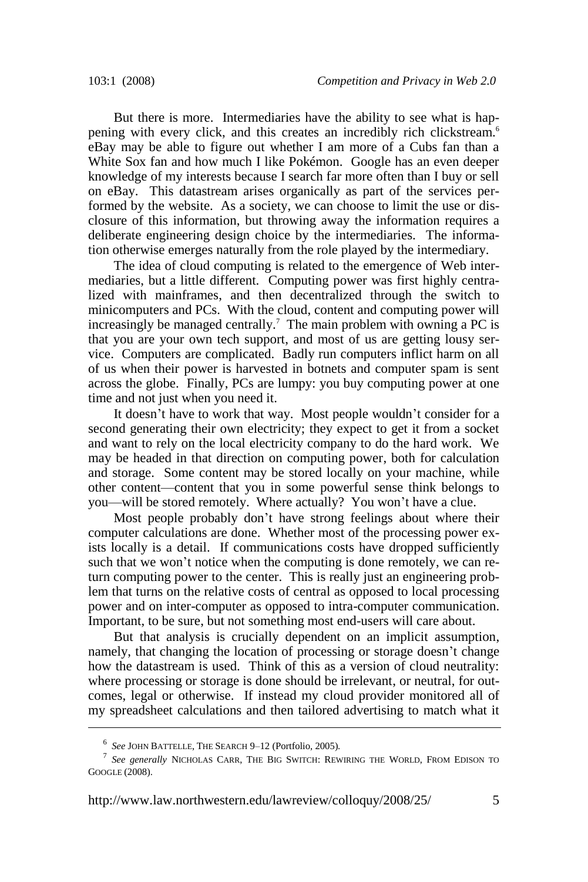But there is more. Intermediaries have the ability to see what is happening with every click, and this creates an incredibly rich clickstream.<sup>6</sup> eBay may be able to figure out whether I am more of a Cubs fan than a White Sox fan and how much I like Pokémon. Google has an even deeper knowledge of my interests because I search far more often than I buy or sell on eBay. This datastream arises organically as part of the services performed by the website. As a society, we can choose to limit the use or disclosure of this information, but throwing away the information requires a deliberate engineering design choice by the intermediaries. The information otherwise emerges naturally from the role played by the intermediary.

The idea of cloud computing is related to the emergence of Web intermediaries, but a little different. Computing power was first highly centralized with mainframes, and then decentralized through the switch to minicomputers and PCs. With the cloud, content and computing power will increasingly be managed centrally.<sup>7</sup> The main problem with owning a PC is that you are your own tech support, and most of us are getting lousy service. Computers are complicated. Badly run computers inflict harm on all of us when their power is harvested in botnets and computer spam is sent across the globe. Finally, PCs are lumpy: you buy computing power at one time and not just when you need it.

It doesn't have to work that way. Most people wouldn't consider for a second generating their own electricity; they expect to get it from a socket and want to rely on the local electricity company to do the hard work. We may be headed in that direction on computing power, both for calculation and storage. Some content may be stored locally on your machine, while other content—content that you in some powerful sense think belongs to you—will be stored remotely. Where actually? You won't have a clue.

Most people probably don't have strong feelings about where their computer calculations are done. Whether most of the processing power exists locally is a detail. If communications costs have dropped sufficiently such that we won't notice when the computing is done remotely, we can return computing power to the center. This is really just an engineering problem that turns on the relative costs of central as opposed to local processing power and on inter-computer as opposed to intra-computer communication. Important, to be sure, but not something most end-users will care about.

But that analysis is crucially dependent on an implicit assumption, namely, that changing the location of processing or storage doesn't change how the datastream is used. Think of this as a version of cloud neutrality: where processing or storage is done should be irrelevant, or neutral, for outcomes, legal or otherwise. If instead my cloud provider monitored all of my spreadsheet calculations and then tailored advertising to match what it

<sup>6</sup> *See* JOHN BATTELLE, THE SEARCH 9–12 (Portfolio, 2005).

<sup>7</sup> *See generally* NICHOLAS CARR, THE BIG SWITCH: REWIRING THE WORLD, FROM EDISON TO GOOGLE (2008).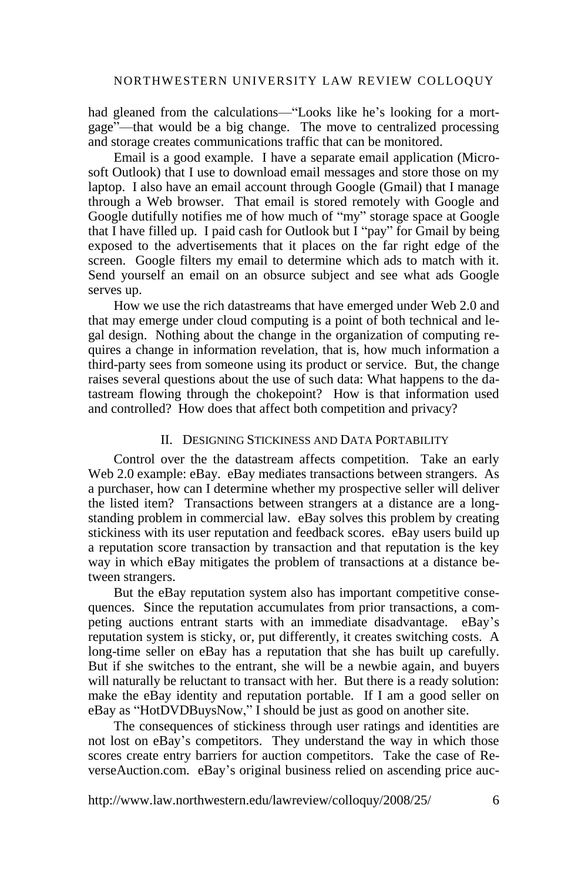had gleaned from the calculations—"Looks like he's looking for a mortgage"—that would be a big change. The move to centralized processing and storage creates communications traffic that can be monitored.

Email is a good example. I have a separate email application (Microsoft Outlook) that I use to download email messages and store those on my laptop. I also have an email account through Google (Gmail) that I manage through a Web browser. That email is stored remotely with Google and Google dutifully notifies me of how much of "my" storage space at Google that I have filled up. I paid cash for Outlook but I "pay" for Gmail by being exposed to the advertisements that it places on the far right edge of the screen. Google filters my email to determine which ads to match with it. Send yourself an email on an obsurce subject and see what ads Google serves up.

How we use the rich datastreams that have emerged under Web 2.0 and that may emerge under cloud computing is a point of both technical and legal design. Nothing about the change in the organization of computing requires a change in information revelation, that is, how much information a third-party sees from someone using its product or service. But, the change raises several questions about the use of such data: What happens to the datastream flowing through the chokepoint? How is that information used and controlled? How does that affect both competition and privacy?

#### II. DESIGNING STICKINESS AND DATA PORTABILITY

Control over the the datastream affects competition. Take an early Web 2.0 example: eBay. eBay mediates transactions between strangers. As a purchaser, how can I determine whether my prospective seller will deliver the listed item? Transactions between strangers at a distance are a longstanding problem in commercial law. eBay solves this problem by creating stickiness with its user reputation and feedback scores. eBay users build up a reputation score transaction by transaction and that reputation is the key way in which eBay mitigates the problem of transactions at a distance between strangers.

But the eBay reputation system also has important competitive consequences. Since the reputation accumulates from prior transactions, a competing auctions entrant starts with an immediate disadvantage. eBay's reputation system is sticky, or, put differently, it creates switching costs. A long-time seller on eBay has a reputation that she has built up carefully. But if she switches to the entrant, she will be a newbie again, and buyers will naturally be reluctant to transact with her. But there is a ready solution: make the eBay identity and reputation portable. If I am a good seller on eBay as "HotDVDBuysNow," I should be just as good on another site.

The consequences of stickiness through user ratings and identities are not lost on eBay's competitors. They understand the way in which those scores create entry barriers for auction competitors. Take the case of ReverseAuction.com. eBay's original business relied on ascending price auc-

http://www.law.northwestern.edu/lawreview/colloquy/2008/25/ 6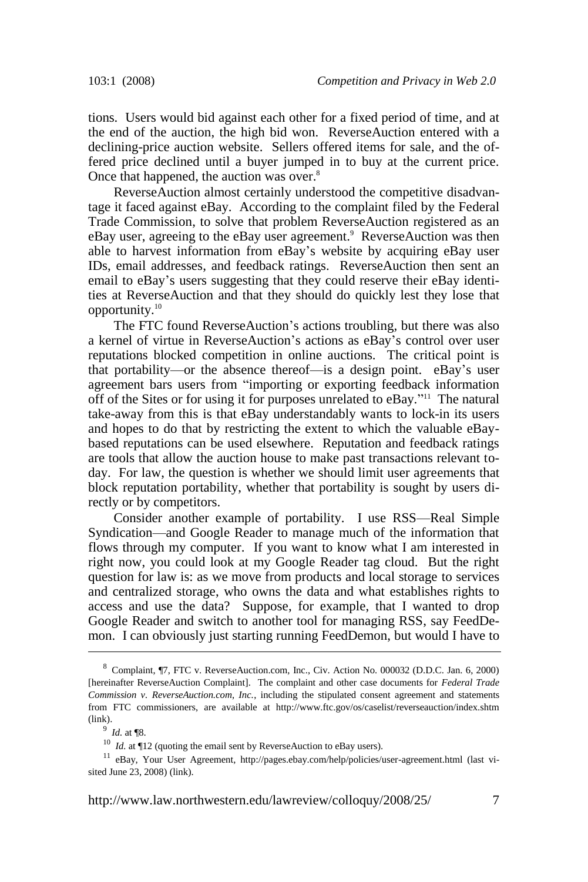tions. Users would bid against each other for a fixed period of time, and at the end of the auction, the high bid won. ReverseAuction entered with a declining-price auction website. Sellers offered items for sale, and the offered price declined until a buyer jumped in to buy at the current price. Once that happened, the auction was over.<sup>8</sup>

ReverseAuction almost certainly understood the competitive disadvantage it faced against eBay. According to the complaint filed by the Federal Trade Commission, to solve that problem ReverseAuction registered as an eBay user, agreeing to the eBay user agreement.<sup>9</sup> ReverseAuction was then able to harvest information from eBay's website by acquiring eBay user IDs, email addresses, and feedback ratings. ReverseAuction then sent an email to eBay's users suggesting that they could reserve their eBay identities at ReverseAuction and that they should do quickly lest they lose that opportunity.<sup>10</sup>

The FTC found ReverseAuction's actions troubling, but there was also a kernel of virtue in ReverseAuction's actions as eBay's control over user reputations blocked competition in online auctions. The critical point is that portability—or the absence thereof—is a design point. eBay's user agreement bars users from "importing or exporting feedback information off of the Sites or for using it for purposes unrelated to  $eBay$ ."<sup>11</sup> The natural take-away from this is that eBay understandably wants to lock-in its users and hopes to do that by restricting the extent to which the valuable eBaybased reputations can be used elsewhere. Reputation and feedback ratings are tools that allow the auction house to make past transactions relevant today. For law, the question is whether we should limit user agreements that block reputation portability, whether that portability is sought by users directly or by competitors.

Consider another example of portability. I use RSS—Real Simple Syndication—and Google Reader to manage much of the information that flows through my computer. If you want to know what I am interested in right now, you could look at my Google Reader tag cloud. But the right question for law is: as we move from products and local storage to services and centralized storage, who owns the data and what establishes rights to access and use the data? Suppose, for example, that I wanted to drop Google Reader and switch to another tool for managing RSS, say FeedDemon. I can obviously just starting running FeedDemon, but would I have to

http://www.law.northwestern.edu/lawreview/colloquy/2008/25/ 7

<sup>8</sup> Complaint, ¶7, FTC v. ReverseAuction.com, Inc., Civ. Action No. 000032 (D.D.C. Jan. 6, 2000) [hereinafter ReverseAuction Complaint]. The complaint and other case documents for *Federal Trade Commission v. ReverseAuction.com, Inc.*, including the stipulated consent agreement and statements from FTC commissioners, are available at http://www.ftc.gov/os/caselist/reverseauction/index.shtm [\(link\).](http://www.ftc.gov/os/caselist/reverseauction/index.shtm)

<sup>9</sup> *Id.* at ¶8.

<sup>&</sup>lt;sup>10</sup> *Id.* at  $\P$ 12 (quoting the email sent by ReverseAuction to eBay users).

<sup>&</sup>lt;sup>11</sup> eBay, Your User Agreement, http://pages.ebay.com/help/policies/user-agreement.html (last visited June 23, 2008[\) \(link\).](http://pages.ebay.com/help/policies/user-agreement.html)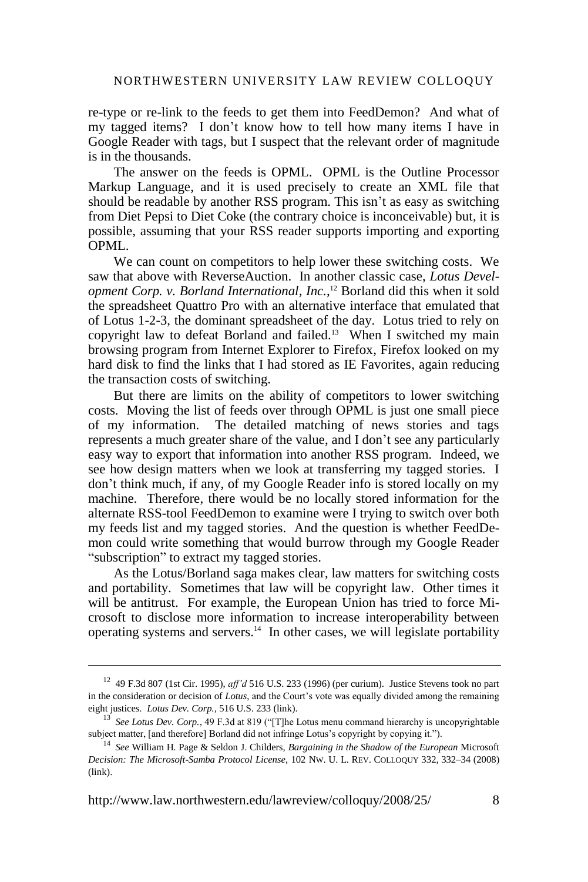re-type or re-link to the feeds to get them into FeedDemon? And what of my tagged items? I don't know how to tell how many items I have in Google Reader with tags, but I suspect that the relevant order of magnitude is in the thousands.

The answer on the feeds is OPML. OPML is the Outline Processor Markup Language, and it is used precisely to create an XML file that should be readable by another RSS program. This isn't as easy as switching from Diet Pepsi to Diet Coke (the contrary choice is inconceivable) but, it is possible, assuming that your RSS reader supports importing and exporting OPML.

We can count on competitors to help lower these switching costs. We saw that above with ReverseAuction. In another classic case, *Lotus Development Corp. v. Borland International, Inc.*, <sup>12</sup> Borland did this when it sold the spreadsheet Quattro Pro with an alternative interface that emulated that of Lotus 1-2-3, the dominant spreadsheet of the day. Lotus tried to rely on copyright law to defeat Borland and failed.<sup>13</sup> When I switched my main browsing program from Internet Explorer to Firefox, Firefox looked on my hard disk to find the links that I had stored as IE Favorites, again reducing the transaction costs of switching.

But there are limits on the ability of competitors to lower switching costs. Moving the list of feeds over through OPML is just one small piece of my information. The detailed matching of news stories and tags represents a much greater share of the value, and I don't see any particularly easy way to export that information into another RSS program. Indeed, we see how design matters when we look at transferring my tagged stories. I don't think much, if any, of my Google Reader info is stored locally on my machine. Therefore, there would be no locally stored information for the alternate RSS-tool FeedDemon to examine were I trying to switch over both my feeds list and my tagged stories. And the question is whether FeedDemon could write something that would burrow through my Google Reader "subscription" to extract my tagged stories.

As the Lotus/Borland saga makes clear, law matters for switching costs and portability. Sometimes that law will be copyright law. Other times it will be antitrust. For example, the European Union has tried to force Microsoft to disclose more information to increase interoperability between operating systems and servers.<sup>14</sup> In other cases, we will legislate portability

<sup>12</sup> 49 F.3d 807 (1st Cir. 1995), *aff'd* 516 U.S. 233 (1996) (per curium). Justice Stevens took no part in the consideration or decision of *Lotus*, and the Court's vote was equally divided among the remaining eight justices. *Lotus Dev. Corp.*, 516 U.S. 23[3 \(link\).](http://supreme.justia.com/us/516/233/)

<sup>&</sup>lt;sup>13</sup> See Lotus Dev. Corp., 49 F.3d at 819 ("[T]he Lotus menu command hierarchy is uncopyrightable subject matter, [and therefore] Borland did not infringe Lotus's copyright by copying it.").

<sup>14</sup> *See* William H. Page & Seldon J. Childers, *Bargaining in the Shadow of the European* Microsoft *Decision: The Microsoft-Samba Protocol License*, 102 NW. U. L. REV. COLLOQUY 332, 332–34 (2008) [\(link\).](http://www.law.northwestern.edu/lawreview/colloquy/2008/16/LRColl2008n16Page&Childers.pdf)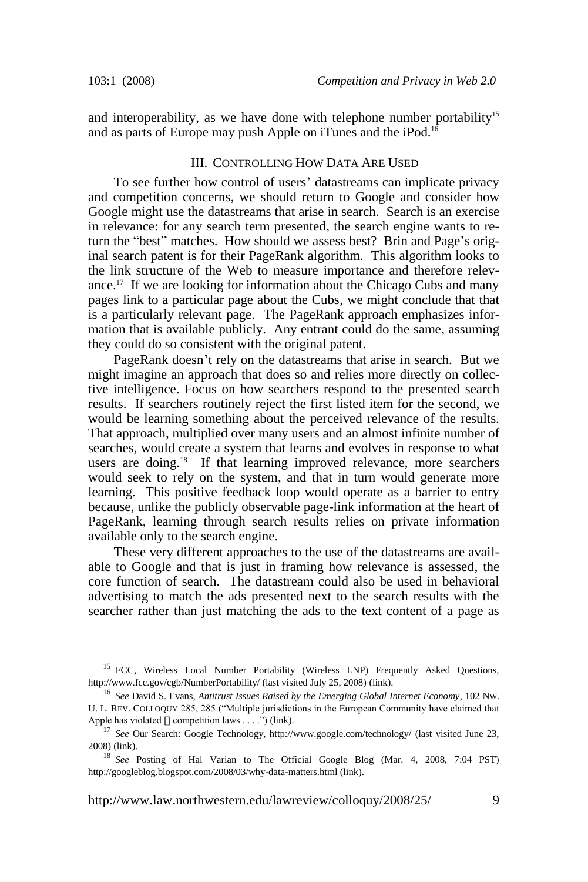and interoperability, as we have done with telephone number portability<sup>15</sup> and as parts of Europe may push Apple on iTunes and the iPod.<sup>16</sup>

#### III. CONTROLLING HOW DATA ARE USED

To see further how control of users' datastreams can implicate privacy and competition concerns, we should return to Google and consider how Google might use the datastreams that arise in search. Search is an exercise in relevance: for any search term presented, the search engine wants to return the "best" matches. How should we assess best? Brin and Page's original search patent is for their PageRank algorithm. This algorithm looks to the link structure of the Web to measure importance and therefore relevance.<sup>17</sup> If we are looking for information about the Chicago Cubs and many pages link to a particular page about the Cubs, we might conclude that that is a particularly relevant page. The PageRank approach emphasizes information that is available publicly. Any entrant could do the same, assuming they could do so consistent with the original patent.

PageRank doesn't rely on the datastreams that arise in search. But we might imagine an approach that does so and relies more directly on collective intelligence. Focus on how searchers respond to the presented search results. If searchers routinely reject the first listed item for the second, we would be learning something about the perceived relevance of the results. That approach, multiplied over many users and an almost infinite number of searches, would create a system that learns and evolves in response to what users are doing.<sup>18</sup> If that learning improved relevance, more searchers would seek to rely on the system, and that in turn would generate more learning. This positive feedback loop would operate as a barrier to entry because, unlike the publicly observable page-link information at the heart of PageRank, learning through search results relies on private information available only to the search engine.

These very different approaches to the use of the datastreams are available to Google and that is just in framing how relevance is assessed, the core function of search. The datastream could also be used in behavioral advertising to match the ads presented next to the search results with the searcher rather than just matching the ads to the text content of a page as

<sup>&</sup>lt;sup>15</sup> FCC, Wireless Local Number Portability (Wireless LNP) Frequently Asked Questions, http://www.fcc.gov/cgb/NumberPortability/ (last visited July 25, 2008[\) \(link\).](http://www.fcc.gov/cgb/NumberPortability/)

<sup>16</sup> *See* David S. Evans, *Antitrust Issues Raised by the Emerging Global Internet Economy*, 102 NW. U. L. REV. COLLOQUY 285, 285 ("Multiple jurisdictions in the European Community have claimed that Apple has violated  $[]$  competition laws . . . ."[\) \(link\).](http://www.law.northwestern.edu/lawreview/colloquy/2008/13/LRColl2008n13Evans.pdf)

<sup>&</sup>lt;sup>17</sup> See Our Search: Google Technology, http://www.google.com/technology/ (last visited June 23, 2008[\) \(link\).](http://www.google.com/technology/)

<sup>&</sup>lt;sup>18</sup> See Posting of Hal Varian to The Official Google Blog (Mar. 4, 2008, 7:04 PST) http://googleblog.blogspot.com/2008/03/why-data-matters.html [\(link\).](http://googleblog.blogspot.com/2008/03/why-data-matters.html)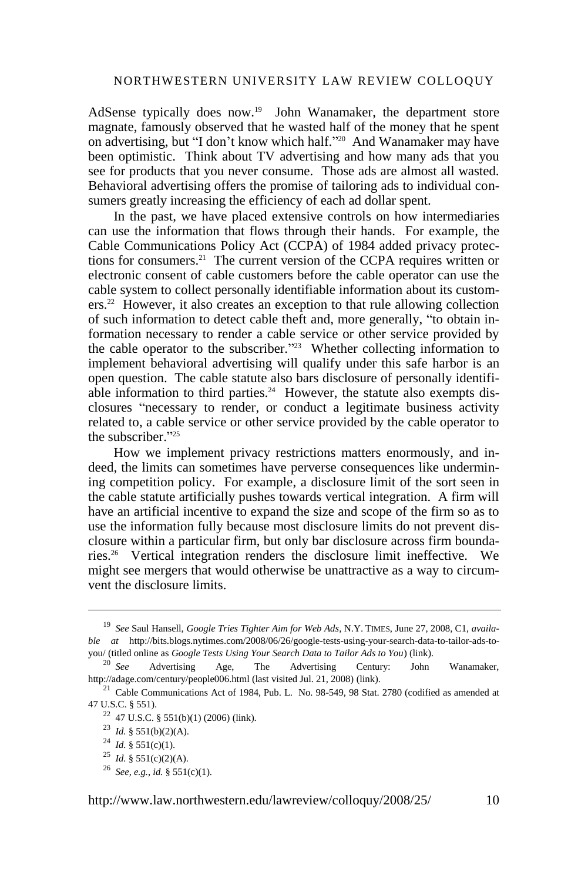#### NORTHWESTERN UNIVERSITY LAW REVIEW COLLOQUY

AdSense typically does now.<sup>19</sup> John Wanamaker, the department store magnate, famously observed that he wasted half of the money that he spent on advertising, but "I don't know which half."<sup>20</sup> And Wanamaker may have been optimistic. Think about TV advertising and how many ads that you see for products that you never consume. Those ads are almost all wasted. Behavioral advertising offers the promise of tailoring ads to individual consumers greatly increasing the efficiency of each ad dollar spent.

In the past, we have placed extensive controls on how intermediaries can use the information that flows through their hands. For example, the Cable Communications Policy Act (CCPA) of 1984 added privacy protections for consumers.<sup>21</sup> The current version of the CCPA requires written or electronic consent of cable customers before the cable operator can use the cable system to collect personally identifiable information about its customers.<sup>22</sup> However, it also creates an exception to that rule allowing collection of such information to detect cable theft and, more generally, "to obtain information necessary to render a cable service or other service provided by the cable operator to the subscriber.<sup> $223$ </sup> Whether collecting information to implement behavioral advertising will qualify under this safe harbor is an open question. The cable statute also bars disclosure of personally identifiable information to third parties.<sup>24</sup> However, the statute also exempts disclosures "necessary to render, or conduct a legitimate business activity related to, a cable service or other service provided by the cable operator to the subscriber."25

How we implement privacy restrictions matters enormously, and indeed, the limits can sometimes have perverse consequences like undermining competition policy. For example, a disclosure limit of the sort seen in the cable statute artificially pushes towards vertical integration. A firm will have an artificial incentive to expand the size and scope of the firm so as to use the information fully because most disclosure limits do not prevent disclosure within a particular firm, but only bar disclosure across firm boundaries.<sup>26</sup> Vertical integration renders the disclosure limit ineffective. We might see mergers that would otherwise be unattractive as a way to circumvent the disclosure limits.

<sup>19</sup> *See* Saul Hansell, *Google Tries Tighter Aim for Web Ads*, N.Y. TIMES, June 27, 2008, C1, *available at* http://bits.blogs.nytimes.com/2008/06/26/google-tests-using-your-search-data-to-tailor-ads-toyou/ (titled online as *Google Tests Using Your Search Data to Tailor Ads to You*[\) \(link\).](http://bits.blogs.nytimes.com/2008/06/26/google-tests-using-your-search-data-to-tailor-ads-to-you/)

 $20$  See Advertising Age, The Advertising Century: John Wanamaker, http://adage.com/century/people006.html (last visited Jul. 21, 2008[\) \(link\).](http://adage.com/century/people006.html)

<sup>&</sup>lt;sup>21</sup> Cable Communications Act of 1984, Pub. L. No. 98-549, 98 Stat. 2780 (codified as amended at 47 U.S.C. § 551).

<sup>&</sup>lt;sup>22</sup> 47 U.S.C. § 551(b)(1) (2006) [\(link\).](http://www.law.cornell.edu/uscode/47/usc_sec_47_00000551----000-.html)

<sup>23</sup> *Id.* § 551(b)(2)(A).

<sup>24</sup> *Id.* § 551(c)(1).

<sup>25</sup> *Id.* § 551(c)(2)(A).

<sup>26</sup> *See, e.g.*, *id.* § 551(c)(1).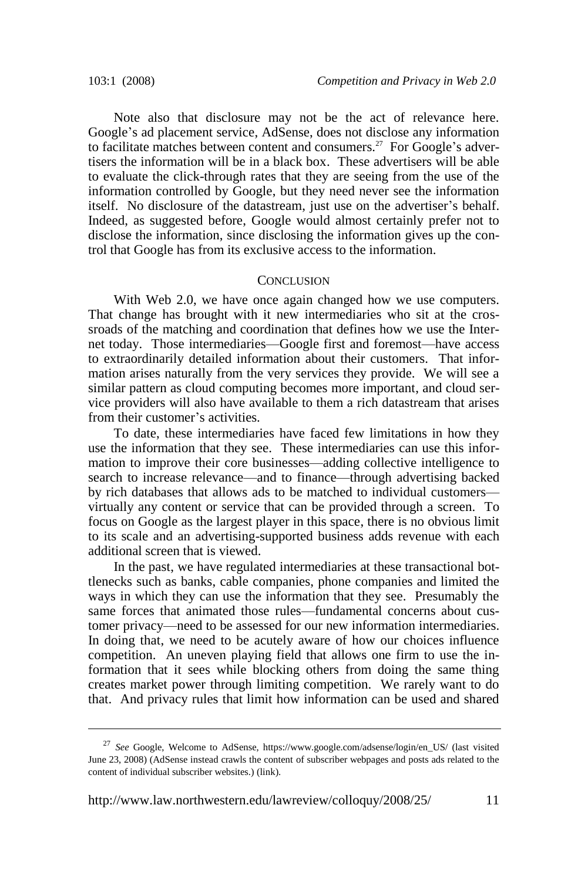Note also that disclosure may not be the act of relevance here. Google's ad placement service, AdSense, does not disclose any information to facilitate matches between content and consumers.<sup>27</sup> For Google's advertisers the information will be in a black box. These advertisers will be able to evaluate the click-through rates that they are seeing from the use of the information controlled by Google, but they need never see the information itself. No disclosure of the datastream, just use on the advertiser's behalf. Indeed, as suggested before, Google would almost certainly prefer not to disclose the information, since disclosing the information gives up the control that Google has from its exclusive access to the information.

#### **CONCLUSION**

With Web 2.0, we have once again changed how we use computers. That change has brought with it new intermediaries who sit at the crossroads of the matching and coordination that defines how we use the Internet today. Those intermediaries—Google first and foremost—have access to extraordinarily detailed information about their customers. That information arises naturally from the very services they provide. We will see a similar pattern as cloud computing becomes more important, and cloud service providers will also have available to them a rich datastream that arises from their customer's activities.

To date, these intermediaries have faced few limitations in how they use the information that they see. These intermediaries can use this information to improve their core businesses—adding collective intelligence to search to increase relevance—and to finance—through advertising backed by rich databases that allows ads to be matched to individual customers virtually any content or service that can be provided through a screen. To focus on Google as the largest player in this space, there is no obvious limit to its scale and an advertising-supported business adds revenue with each additional screen that is viewed.

In the past, we have regulated intermediaries at these transactional bottlenecks such as banks, cable companies, phone companies and limited the ways in which they can use the information that they see. Presumably the same forces that animated those rules—fundamental concerns about customer privacy—need to be assessed for our new information intermediaries. In doing that, we need to be acutely aware of how our choices influence competition. An uneven playing field that allows one firm to use the information that it sees while blocking others from doing the same thing creates market power through limiting competition. We rarely want to do that. And privacy rules that limit how information can be used and shared

<sup>27</sup> *See* Google, Welcome to AdSense, https://www.google.com/adsense/login/en\_US/ (last visited June 23, 2008) (AdSense instead crawls the content of subscriber webpages and posts ads related to the content of individual subscriber websites.) [\(link\).](https://www.google.com/adsense/login/en_US/)